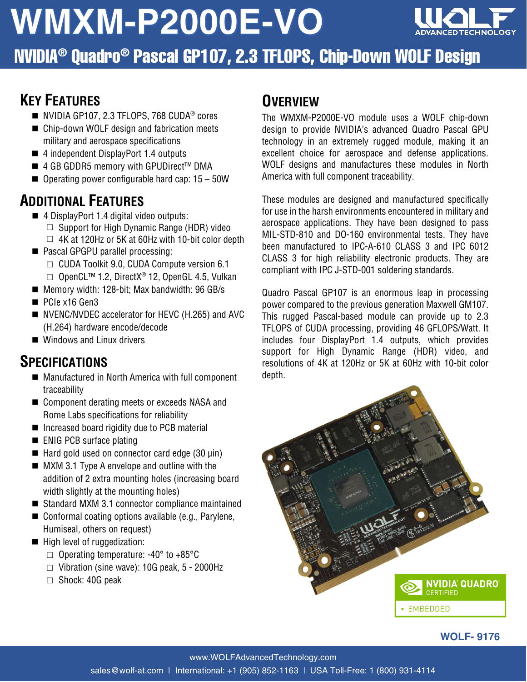# **WMXM-P2000E-VO**



NVIDIA® Quadro® Pascal GP107, 2.3 TFLOPS, Chip-Down WOLF Design

#### **KEY FEATURES**

- NVIDIA GP107, 2.3 TFLOPS, 768 CUDA<sup>®</sup> cores
- Chip-down WOLF design and fabrication meets military and aerospace specifications
- 4 independent DisplayPort 1.4 outputs
- 4 GB GDDR5 memory with GPUDirect<sup>™</sup> DMA
- $\blacksquare$  Operating power configurable hard cap: 15 50W

#### **ADDITIONAL FEATURES**

- 4 DisplayPort 1.4 digital video outputs:
	- $\Box$  Support for High Dynamic Range (HDR) video
	- $\Box$  4K at 120Hz or 5K at 60Hz with 10-bit color depth
- Pascal GPGPU parallel processing:
	- □ CUDA Toolkit 9.0, CUDA Compute version 6.1
	- □ OpenCL™ 1.2, DirectX® 12, OpenGL 4.5, Vulkan
- Memory width: 128-bit; Max bandwidth: 96 GB/s
- PCIe x16 Gen3
- NVENC/NVDEC accelerator for HEVC (H.265) and AVC (H.264) hardware encode/decode
- Windows and Linux drivers

#### **SPECIFICATIONS**

- Manufactured in North America with full component traceability
- Component derating meets or exceeds NASA and Rome Labs specifications for reliability
- $\blacksquare$  Increased board rigidity due to PCB material
- **ENIG PCB surface plating**
- $\blacksquare$  Hard gold used on connector card edge (30  $\mu$ in)
- **MXM 3.1 Type A envelope and outline with the** addition of 2 extra mounting holes (increasing board width slightly at the mounting holes)
- Standard MXM 3.1 connector compliance maintained
- Conformal coating options available (e.g., Parylene, Humiseal, others on request)
- High level of ruggedization:
	- $\Box$  Operating temperature: -40 $\degree$  to +85 $\degree$ C
	- $\Box$  Vibration (sine wave): 10G peak, 5 2000Hz
	- □ Shock: 40G peak

#### **OVERVIEW**

The WMXM-P2000E-VO module uses a WOLF chip-down design to provide NVIDIA's advanced Quadro Pascal GPU technology in an extremely rugged module, making it an excellent choice for aerospace and defense applications. WOLF designs and manufactures these modules in North America with full component traceability.

These modules are designed and manufactured specifically for use in the harsh environments encountered in military and aerospace applications. They have been designed to pass MIL-STD-810 and DO-160 environmental tests. They have been manufactured to IPC-A-610 CLASS 3 and IPC 6012 CLASS 3 for high reliability electronic products. They are compliant with IPC J-STD-001 soldering standards.

Quadro Pascal GP107 is an enormous leap in processing power compared to the previous generation Maxwell GM107. This rugged Pascal-based module can provide up to 2.3 TFLOPS of CUDA processing, providing 46 GFLOPS/Watt. It includes four DisplayPort 1.4 outputs, which provides support for High Dynamic Range (HDR) video, and resolutions of 4K at 120Hz or 5K at 60Hz with 10-bit color depth.